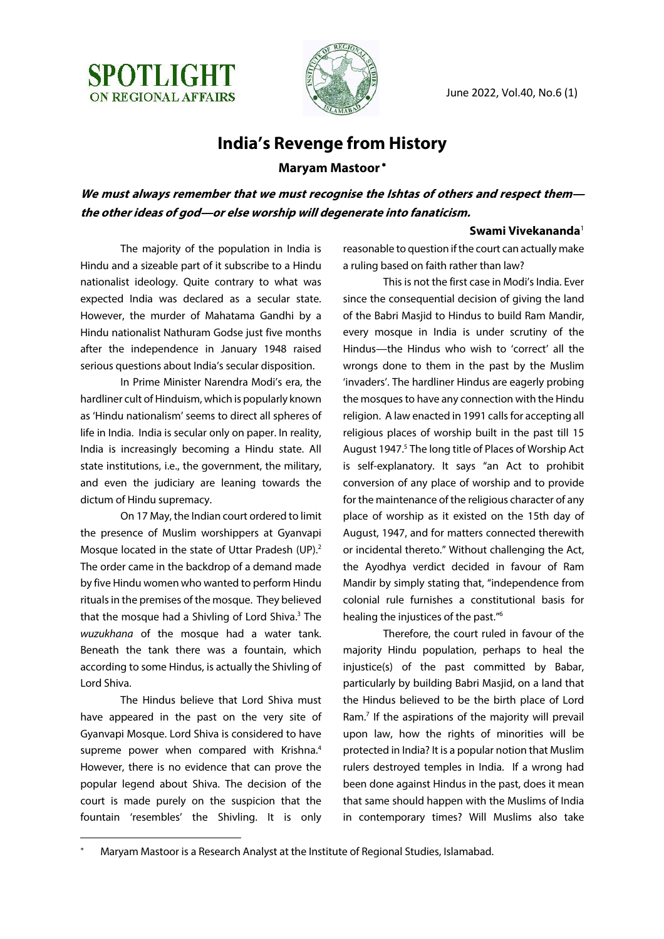

June 2022, Vol.40, No.6 (1)

### **India's Revenge from History**

#### **Maryam Mastoor** \*

**We must always remember that we must recognise the Ishtas of others and respect them the other ideas of god—or else worship will degenerate into fanaticism.**

#### **Swami Vivekananda**<sup>1</sup>

The majority of the population in India is Hindu and a sizeable part of it subscribe to a Hindu nationalist ideology. Quite contrary to what was expected India was declared as a secular state. However, the murder of Mahatama Gandhi by a Hindu nationalist Nathuram Godse just five months after the independence in January 1948 raised serious questions about India's secular disposition.

In Prime Minister Narendra Modi's era, the hardliner cult of Hinduism, which is popularly known as 'Hindu nationalism' seems to direct all spheres of life in India. India is secular only on paper. In reality, India is increasingly becoming a Hindu state. All state institutions, i.e., the government, the military, and even the judiciary are leaning towards the dictum of Hindu supremacy.

On 17 May, the Indian court ordered to limit the presence of Muslim worshippers at Gyanvapi Mosque located in the state of Uttar Pradesh (UP).<sup>2</sup> The order came in the backdrop of a demand made by five Hindu women who wanted to perform Hindu rituals in the premises of the mosque. They believed that the mosque had a Shivling of Lord Shiva.<sup>3</sup> The *wuzukhana* of the mosque had a water tank. Beneath the tank there was a fountain, which according to some Hindus, is actually the Shivling of Lord Shiva.

The Hindus believe that Lord Shiva must have appeared in the past on the very site of Gyanvapi Mosque. Lord Shiva is considered to have supreme power when compared with Krishna.<sup>4</sup> However, there is no evidence that can prove the popular legend about Shiva. The decision of the court is made purely on the suspicion that the fountain 'resembles' the Shivling. It is only reasonable to question if the court can actually make a ruling based on faith rather than law?

This is not the first case in Modi's India. Ever since the consequential decision of giving the land of the Babri Masjid to Hindus to build Ram Mandir, every mosque in India is under scrutiny of the Hindus—the Hindus who wish to 'correct' all the wrongs done to them in the past by the Muslim 'invaders'. The hardliner Hindus are eagerly probing the mosques to have any connection with the Hindu religion. A law enacted in 1991 calls for accepting all religious places of worship built in the past till 15 August 1947.<sup>5</sup> The long title of Places of Worship Act is self-explanatory. It says "an Act to prohibit conversion of any place of worship and to provide for the maintenance of the religious character of any place of worship as it existed on the 15th day of August, 1947, and for matters connected therewith or incidental thereto." Without challenging the Act, the Ayodhya verdict decided in favour of Ram Mandir by simply stating that, "independence from colonial rule furnishes a constitutional basis for healing the injustices of the past."6

Therefore, the court ruled in favour of the majority Hindu population, perhaps to heal the injustice(s) of the past committed by Babar, particularly by building Babri Masjid, on a land that the Hindus believed to be the birth place of Lord Ram.<sup>7</sup> If the aspirations of the majority will prevail upon law, how the rights of minorities will be protected in India? It is a popular notion that Muslim rulers destroyed temples in India. If a wrong had been done against Hindus in the past, does it mean that same should happen with the Muslims of India in contemporary times? Will Muslims also take

Maryam Mastoor is a Research Analyst at the Institute of Regional Studies, Islamabad.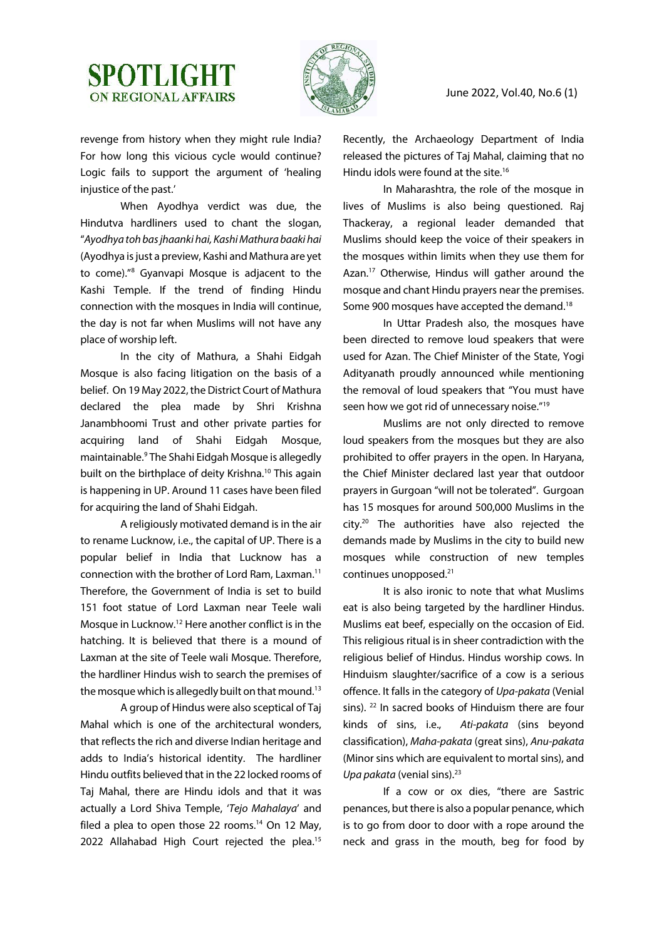## **SPOTLIGHT ON REGIONAL AFFAIRS**



June 2022, Vol.40, No.6 (1)

revenge from history when they might rule India? For how long this vicious cycle would continue? Logic fails to support the argument of 'healing injustice of the past.'

When Ayodhya verdict was due, the Hindutva hardliners used to chant the slogan, "*Ayodhya toh bas jhaanki hai, Kashi Mathura baaki hai* (Ayodhya is just a preview, Kashi and Mathura are yet to come)."8 Gyanvapi Mosque is adjacent to the Kashi Temple. If the trend of finding Hindu connection with the mosques in India will continue, the day is not far when Muslims will not have any place of worship left.

In the city of Mathura, a Shahi Eidgah Mosque is also facing litigation on the basis of a belief. On 19 May 2022, the District Court of Mathura declared the plea made by Shri Krishna Janambhoomi Trust and other private parties for acquiring land of Shahi Eidgah Mosque, maintainable. <sup>9</sup> The Shahi Eidgah Mosque is allegedly built on the birthplace of deity Krishna.<sup>10</sup> This again is happening in UP. Around 11 cases have been filed for acquiring the land of Shahi Eidgah.

A religiously motivated demand is in the air to rename Lucknow, i.e., the capital of UP. There is a popular belief in India that Lucknow has a connection with the brother of Lord Ram, Laxman.11 Therefore, the Government of India is set to build 151 foot statue of Lord Laxman near Teele wali Mosque in Lucknow.12 Here another conflict is in the hatching. It is believed that there is a mound of Laxman at the site of Teele wali Mosque. Therefore, the hardliner Hindus wish to search the premises of the mosque which is allegedly built on that mound.<sup>13</sup>

A group of Hindus were also sceptical of Taj Mahal which is one of the architectural wonders, that reflects the rich and diverse Indian heritage and adds to India's historical identity. The hardliner Hindu outfits believed that in the 22 locked rooms of Taj Mahal, there are Hindu idols and that it was actually a Lord Shiva Temple, '*Tejo Mahalaya*' and filed a plea to open those 22 rooms.<sup>14</sup> On 12 May, 2022 Allahabad High Court rejected the plea.<sup>15</sup>

Recently, the Archaeology Department of India released the pictures of Taj Mahal, claiming that no Hindu idols were found at the site.<sup>16</sup>

In Maharashtra, the role of the mosque in lives of Muslims is also being questioned. Raj Thackeray, a regional leader demanded that Muslims should keep the voice of their speakers in the mosques within limits when they use them for Azan.<sup>17</sup> Otherwise, Hindus will gather around the mosque and chant Hindu prayers near the premises. Some 900 mosques have accepted the demand.<sup>18</sup>

In Uttar Pradesh also, the mosques have been directed to remove loud speakers that were used for Azan. The Chief Minister of the State, Yogi Adityanath proudly announced while mentioning the removal of loud speakers that "You must have seen how we got rid of unnecessary noise."<sup>19</sup>

Muslims are not only directed to remove loud speakers from the mosques but they are also prohibited to offer prayers in the open. In Haryana, the Chief Minister declared last year that outdoor prayers in Gurgoan "will not be tolerated". Gurgoan has 15 mosques for around 500,000 Muslims in the city.20 The authorities have also rejected the demands made by Muslims in the city to build new mosques while construction of new temples continues unopposed.21

It is also ironic to note that what Muslims eat is also being targeted by the hardliner Hindus. Muslims eat beef, especially on the occasion of Eid. This religious ritual is in sheer contradiction with the religious belief of Hindus. Hindus worship cows. In Hinduism slaughter/sacrifice of a cow is a serious offence. It falls in the category of *Upa-pakata* (Venial sins). <sup>22</sup> In sacred books of Hinduism there are four kinds of sins, i.e., *Ati-pakata* (sins beyond classification), *Maha-pakata* (great sins), *Anu-pakata* (Minor sins which are equivalent to mortal sins), and *Upa pakata* (venial sins).<sup>23</sup>

If a cow or ox dies, "there are Sastric penances, but there is also a popular penance, which is to go from door to door with a rope around the neck and grass in the mouth, beg for food by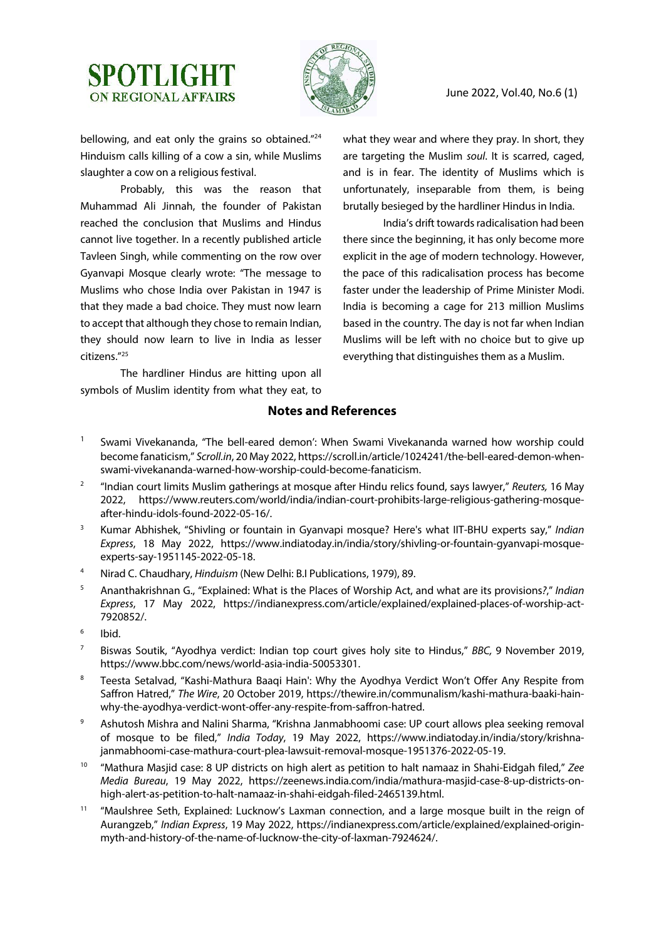# **SPOTLIGHT ON REGIONAL AFFAIRS**



June 2022, Vol.40, No.6 (1)

bellowing, and eat only the grains so obtained."<sup>24</sup> Hinduism calls killing of a cow a sin, while Muslims slaughter a cow on a religious festival.

Probably, this was the reason that Muhammad Ali Jinnah, the founder of Pakistan reached the conclusion that Muslims and Hindus cannot live together. In a recently published article Tavleen Singh, while commenting on the row over Gyanvapi Mosque clearly wrote: "The message to Muslims who chose India over Pakistan in 1947 is that they made a bad choice. They must now learn to accept that although they chose to remain Indian, they should now learn to live in India as lesser citizens."25

The hardliner Hindus are hitting upon all symbols of Muslim identity from what they eat, to what they wear and where they pray. In short, they are targeting the Muslim *soul*. It is scarred, caged, and is in fear. The identity of Muslims which is unfortunately, inseparable from them, is being brutally besieged by the hardliner Hindus in India.

India's drift towards radicalisation had been there since the beginning, it has only become more explicit in the age of modern technology. However, the pace of this radicalisation process has become faster under the leadership of Prime Minister Modi. India is becoming a cage for 213 million Muslims based in the country. The day is not far when Indian Muslims will be left with no choice but to give up everything that distinguishes them as a Muslim.

### **Notes and References**

- <sup>1</sup> Swami Vivekananda, "The bell-eared demon': When Swami Vivekananda warned how worship could become fanaticism," *Scroll.in*, 20 May 2022, https://scroll.in/article/1024241/the-bell-eared-demon-whenswami-vivekananda-warned-how-worship-could-become-fanaticism.
- <sup>2</sup> "Indian court limits Muslim gatherings at mosque after Hindu relics found, says lawyer," *Reuters,* 16 May 2022, https://www.reuters.com/world/india/indian-court-prohibits-large-religious-gathering-mosqueafter-hindu-idols-found-2022-05-16/.
- <sup>3</sup> Kumar Abhishek, "Shivling or fountain in Gyanvapi mosque? Here's what IIT-BHU experts say," *Indian Express*, 18 May 2022, https://www.indiatoday.in/india/story/shivling-or-fountain-gyanvapi-mosqueexperts-say-1951145-2022-05-18.
- <sup>4</sup> Nirad C. Chaudhary, *Hinduism* (New Delhi: B.I Publications, 1979), 89.
- <sup>5</sup> Ananthakrishnan G., "Explained: What is the Places of Worship Act, and what are its provisions*?*," *Indian Express*, 17 May 2022, https://indianexpress.com/article/explained/explained-places-of-worship-act-7920852/.
- <sup>6</sup> Ibid.
- <sup>7</sup> Biswas Soutik, "Ayodhya verdict: Indian top court gives holy site to Hindus," *BBC,* 9 November 2019, https://www.bbc.com/news/world-asia-india-50053301.
- <sup>8</sup> Teesta Setalvad, "Kashi-Mathura Baaqi Hain': Why the Ayodhya Verdict Won't Offer Any Respite from Saffron Hatred," *The Wire*, 20 October 2019, https://thewire.in/communalism/kashi-mathura-baaki-hainwhy-the-ayodhya-verdict-wont-offer-any-respite-from-saffron-hatred.
- 9 Ashutosh Mishra and Nalini Sharma, "Krishna Janmabhoomi case: UP court allows plea seeking removal of mosque to be filed," *India Today*, 19 May 2022, https://www.indiatoday.in/india/story/krishnajanmabhoomi-case-mathura-court-plea-lawsuit-removal-mosque-1951376-2022-05-19.
- <sup>10</sup> "Mathura Masjid case: 8 UP districts on high alert as petition to halt namaaz in Shahi-Eidgah filed," *Zee Media Bureau*, 19 May 2022, https://zeenews.india.com/india/mathura-masjid-case-8-up-districts-onhigh-alert-as-petition-to-halt-namaaz-in-shahi-eidgah-filed-2465139.html.
- <sup>11</sup> "Maulshree Seth, Explained: Lucknow's Laxman connection, and a large mosque built in the reign of Aurangzeb," *Indian Express*, 19 May 2022, https://indianexpress.com/article/explained/explained-originmyth-and-history-of-the-name-of-lucknow-the-city-of-laxman-7924624/.